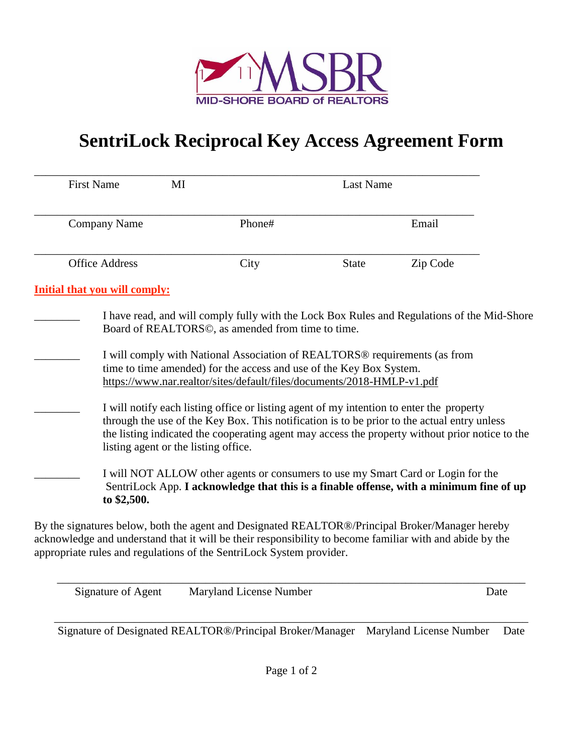

## **SentriLock Reciprocal Key Access Agreement Form**

| <b>First Name</b><br>MI                                                                                                                                                                                                                                                             |                                                                                                                                                                                                                                                                                                                                                                                             | Last Name    |          |  |
|-------------------------------------------------------------------------------------------------------------------------------------------------------------------------------------------------------------------------------------------------------------------------------------|---------------------------------------------------------------------------------------------------------------------------------------------------------------------------------------------------------------------------------------------------------------------------------------------------------------------------------------------------------------------------------------------|--------------|----------|--|
| <b>Company Name</b>                                                                                                                                                                                                                                                                 | Phone#                                                                                                                                                                                                                                                                                                                                                                                      |              | Email    |  |
| <b>Office Address</b>                                                                                                                                                                                                                                                               | City                                                                                                                                                                                                                                                                                                                                                                                        | <b>State</b> | Zip Code |  |
| <b>Initial that you will comply:</b>                                                                                                                                                                                                                                                |                                                                                                                                                                                                                                                                                                                                                                                             |              |          |  |
|                                                                                                                                                                                                                                                                                     | I have read, and will comply fully with the Lock Box Rules and Regulations of the Mid-Shore<br>Board of REALTORS©, as amended from time to time.<br>I will comply with National Association of REALTORS <sup>®</sup> requirements (as from<br>time to time amended) for the access and use of the Key Box System.<br>https://www.nar.realtor/sites/default/files/documents/2018-HMLP-v1.pdf |              |          |  |
| listing agent or the listing office.                                                                                                                                                                                                                                                | I will notify each listing office or listing agent of my intention to enter the property<br>through the use of the Key Box. This notification is to be prior to the actual entry unless<br>the listing indicated the cooperating agent may access the property without prior notice to the                                                                                                  |              |          |  |
| to \$2,500.                                                                                                                                                                                                                                                                         | I will NOT ALLOW other agents or consumers to use my Smart Card or Login for the<br>SentriLock App. I acknowledge that this is a finable offense, with a minimum fine of up                                                                                                                                                                                                                 |              |          |  |
| By the signatures below, both the agent and Designated REALTOR®/Principal Broker/Manager hereby<br>acknowledge and understand that it will be their responsibility to become familiar with and abide by the<br>appropriate rules and regulations of the SentriLock System provider. |                                                                                                                                                                                                                                                                                                                                                                                             |              |          |  |

| Signature of Agent | Maryland License Number | Date |
|--------------------|-------------------------|------|
|                    |                         |      |

Signature of Designated REALTOR®/Principal Broker/Manager Maryland License Number Date